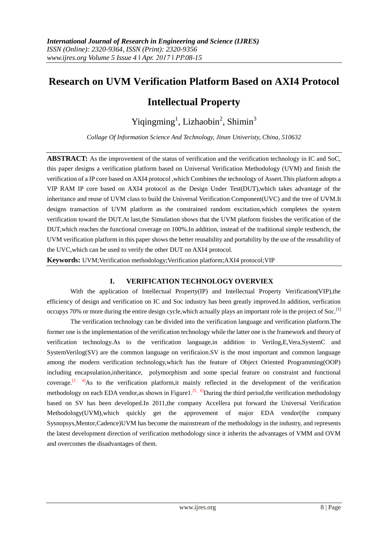## **Research on UVM Verification Platform Based on AXI4 Protocol**

# **Intellectual Property**

## Yiqingming<sup>1</sup>, Lizhaobin<sup>2</sup>, Shimin<sup>3</sup>

*Collage Of Information Science And Technology, Jinan Univeristy, China, 510632*

**ABSTRACT:** As the improvement of the status of verification and the verification technology in IC and SoC, this paper designs a verification platform based on Universal Verification Methodology (UVM) and finish the verification of a IP core based on AXI4 protocol ,which Combines the technology of Assert.This platform adopts a VIP RAM IP core based on AXI4 protocol as the Design Under Test(DUT),which takes advantage of the inheritance and reuse of UVM class to build the Universal Verification Component(UVC) and the tree of UVM.It designs transaction of UVM platform as the constrained random excitation,which completes the system verification toward the DUT.At last,the Simulation shows that the UVM platform finishes the verification of the DUT,which reaches the functional coverage on 100%.In addition, instead of the traditional simple testbench, the UVM verification platform in this paper shows the better reusability and portability by the use of the reusability of the UVC,which can be used to verify the other DUT on AXI4 protocol.

**Keywords:** UVM;Verification methodology;Verification platform;AXI4 protocol;VIP

## **I. VERIFICATION TECHNOLOGY OVERVIEX**

With the application of Intellectual Property(IP) and Intellectual Property Verification(VIP), the efficiency of design and verification on IC and Soc industry has been greatly improved.In addition, verfication occupys 70% or more during the entire design cycle,which actually plays an important role in the project of Soc.[1]

The verification technology can be divided into the verification language and verification platform.The former one is the implementation of the verification technology while the latter one is the framework and theory of verification technology.As to the verification language,in addition to Verilog,E,Vera,SystemC and SystemVerilog(SV) are the common language on verificaion.SV is the most important and common language among the modern verification technology,which has the feature of Object Oriented Programming(OOP) including encapsulation,inheritance, polymorphism and some special feature on constraint and functional coverage.<sup>[2, 4]</sup>As to the verification platform, it mainly reflected in the development of the verification methodology on each EDA vendor, as shown in Figure 1.<sup>[5, 6]</sup>During the third period, the verification methodology based on SV has been developed.In 2011,the company Accellera put forward the Universal Verification Methodology(UVM),which quickly get the approvement of major EDA vendor(the company Sysnopsys,Mentor,Cadence)UVM has become the mainstream of the methodology in the industry, and represents the latest development direction of verification methodology since it inherits the advantages of VMM and OVM and overcomes the disadvantages of them.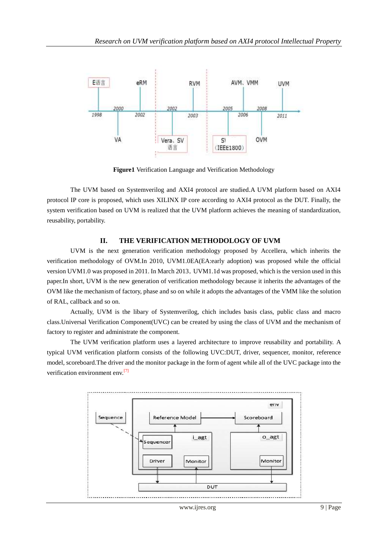

**Figure1** Verification Language and Verification Methodology

The UVM based on Systemverilog and AXI4 protocol are studied.A UVM platform based on AXI4 protocol IP core is proposed, which uses XILINX IP core according to AXI4 protocol as the DUT. Finally, the system verification based on UVM is realized that the UVM platform achieves the meaning of standardization, reusability, portability.

#### **II. THE VERIFICATION METHODOLOGY OF UVM**

UVM is the next generation verification methodology proposed by Accellera, which inherits the verification methodology of OVM.In 2010, UVM1.0EA(EA:early adoption) was proposed while the official version UVM1.0 was proposed in 2011. In March 2013, UVM1.1d was proposed, which is the version used in this paper.In short, UVM is the new generation of verification methodology because it inherits the advantages of the OVM like the mechanism of factory, phase and so on while it adopts the advantages of the VMM like the solution of RAL, callback and so on.

Actually, UVM is the libary of Systemverilog, chich includes basis class, public class and macro class.Universal Verification Component(UVC) can be created by using the class of UVM and the mechanism of factory to register and administrate the component.

The UVM verification platform uses a layered architecture to improve reusability and portability. A typical UVM verification platform consists of the following UVC:DUT, driver, sequencer, monitor, reference model, scoreboard.The driver and the monitor package in the form of agent while all of the UVC package into the verification environment env.<sup>[7]</sup>

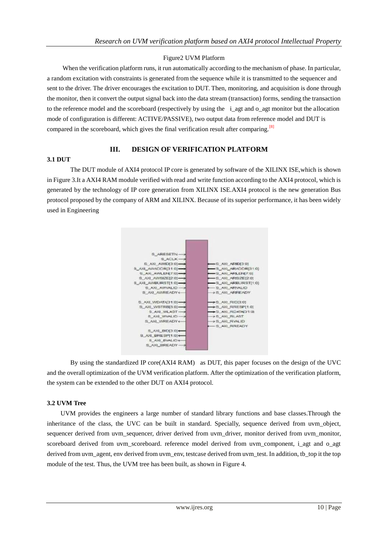## Figure2 UVM Platform

When the verification platform runs, it run automatically according to the mechanism of phase. In particular, a random excitation with constraints is generated from the sequence while it is transmitted to the sequencer and sent to the driver. The driver encourages the excitation to DUT. Then, monitoring, and acquisition is done through the monitor, then it convert the output signal back into the data stream (transaction) forms, sending the transaction to the reference model and the scoreboard (respectively by using the i\_agt and o\_agt monitor but the allocation mode of configuration is different: ACTIVE/PASSIVE), two output data from reference model and DUT is compared in the scoreboard, which gives the final verification result after comparing.<sup>[8]</sup>

## **3.1 DUT**

## **III. DESIGN OF VERIFICATION PLATFORM**

The DUT module of AXI4 protocol IP core is generated by software of the XILINX ISE,which is shown in Figure 3.It a AXI4 RAM module verified with read and write function according to the AXI4 protocol, which is generated by the technology of IP core generation from XILINX ISE.AXI4 protocol is the new generation Bus protocol proposed by the company of ARM and XILINX. Because of its superior performance, it has been widely used in Engineering



By using the standardized IP core(AXI4 RAM) as DUT, this paper focuses on the design of the UVC and the overall optimization of the UVM verification platform. After the optimization of the verification platform, the system can be extended to the other DUT on AXI4 protocol.

## **3.2 UVM Tree**

UVM provides the engineers a large number of standard library functions and base classes.Through the inheritance of the class, the UVC can be built in standard. Specially, sequence derived from uvm\_object, sequencer derived from uvm\_sequencer, driver derived from uvm\_driver, monitor derived from uvm\_monitor, scoreboard derived from uvm\_scoreboard. reference model derived from uvm\_component, i\_agt and o\_agt derived from uvm\_agent, env derived from uvm\_env, testcase derived from uvm\_test. In addition, tb\_top it the top module of the test. Thus, the UVM tree has been built, as shown in Figure 4.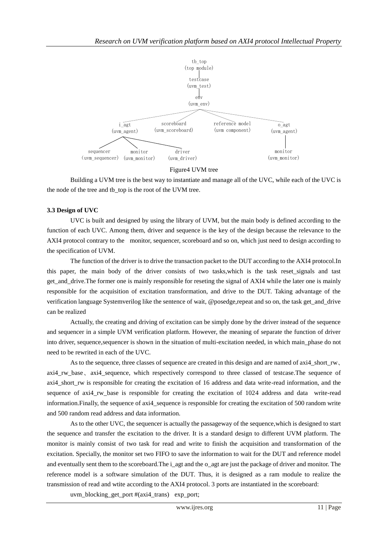

Figure4 UVM tree

Building a UVM tree is the best way to instantiate and manage all of the UVC, while each of the UVC is the node of the tree and tb top is the root of the UVM tree.

#### **3.3 Design of UVC**

UVC is built and designed by using the library of UVM, but the main body is defined according to the function of each UVC. Among them, driver and sequence is the key of the design because the relevance to the AXI4 protocol contrary to the monitor, sequencer, scoreboard and so on, which just need to design according to the specification of UVM.

The function of the driver is to drive the transaction packet to the DUT according to the AXI4 protocol.In this paper, the main body of the driver consists of two tasks,which is the task reset\_signals and tast get\_and\_drive.The former one is mainly responsible for reseting the signal of AXI4 while the later one is mainly responsible for the acquisition of excitation transformation, and drive to the DUT. Taking advantage of the verification language Systemverilog like the sentence of wait, @posedge,repeat and so on, the task get\_and\_drive can be realized

Actually, the creating and driving of excitation can be simply done by the driver instead of the sequence and sequencer in a simple UVM verification platform. However, the meaning of separate the function of driver into driver, sequence,sequencer is shown in the situation of multi-excitation needed, in which main\_phase do not need to be rewrited in each of the UVC.

As to the sequence, three classes of sequence are created in this design and are named of axi4 short  $rw$ . axi4\_rw\_base, axi4\_sequence, which respectively correspond to three classed of testcase.The sequence of axi4\_short\_rw is responsible for creating the excitation of 16 address and data write-read information, and the sequence of axi4\_rw\_base is responsible for creating the excitation of 1024 address and data write-read information. Finally, the sequence of axi4 sequence is responsible for creating the excitation of 500 random write and 500 random read address and data information.

As to the other UVC, the sequencer is actually the passageway of the sequence,which is designed to start the sequence and transfer the excitation to the driver. It is a standard design to different UVM platform. The monitor is mainly consist of two task for read and write to finish the acquisition and transformation of the excitation. Specially, the monitor set two FIFO to save the information to wait for the DUT and reference model and eventually sent them to the scoreboard.The i\_agt and the o\_agt are just the package of driver and monitor. The reference model is a software simulation of the DUT. Thus, it is designed as a ram module to realize the transmission of read and wtite according to the AXI4 protocol. 3 ports are instantiated in the scoreboard:

uvm\_blocking\_get\_port #(axi4\_trans) exp\_port;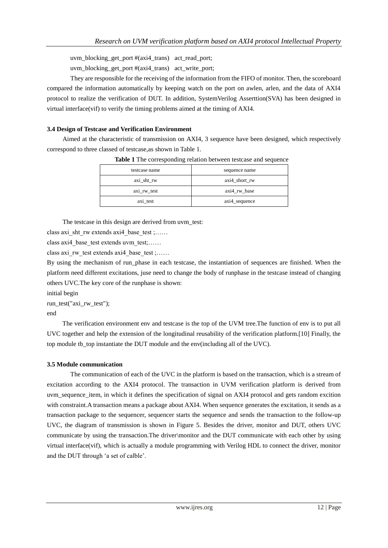uvm\_blocking\_get\_port #(axi4\_trans) act\_read\_port;

uvm\_blocking\_get\_port  $#(axi4\;trans)$  act\_write\_port;

They are responsible for the receiving of the information from the FIFO of monitor. Then, the scoreboard compared the information automatically by keeping watch on the port on awlen, arlen, and the data of AXI4 protocol to realize the verification of DUT. In addition, SystemVerilog Asserttion(SVA) has been designed in virtual interface(vif) to verify the timing problems aimed at the timing of AXI4.

### **3.4 Design of Testcase and Verification Environment**

Aimed at the characteristic of transmission on AXI4, 3 sequence have been designed, which respectively correspond to three classed of testcase,as shown in Table 1.

| testcase name         | sequence name     |
|-----------------------|-------------------|
| $axi_{\text{sht}}$ rw | $axi4\_short\_rw$ |
| axi_rw_test           | axi4_rw_base      |
| axi test              | axi4_sequence     |

**Table 1** The corresponding relation between testcase and sequence

The testcase in this design are derived from uvm\_test:

class axi\_sht\_rw extends axi4\_base\_test ;……

class axi4\_base\_test extends uvm\_test;……

class axi\_rw\_test extends axi4\_base\_test ;……

By using the mechanism of run phase in each testcase, the instantiation of sequences are finished. When the platform need different excitations, juse need to change the body of runphase in the testcase instead of changing others UVC.The key core of the runphase is shown:

initial begin

run\_test("axi\_rw\_test"); end

The verification environment env and testcase is the top of the UVM tree.The function of env is to put all UVC together and help the extension of the longitudinal reusability of the verification platform.[10] Finally, the top module tb\_top instantiate the DUT module and the env(including all of the UVC).

## **3.5 Module communication**

The communication of each of the UVC in the platform is based on the transaction, which is a stream of excitation according to the AXI4 protocol. The transaction in UVM verification platform is derived from uvm sequence item, in which it defines the specification of signal on AXI4 protocol and gets random excition with constraint. A transaction means a package about AXI4. When sequence generates the excitation, it sends as a transaction package to the sequencer, sequencer starts the sequence and sends the transaction to the follow-up UVC, the diagram of transmission is shown in Figure 5. Besides the driver, monitor and DUT, others UVC communicate by using the transaction.The driver\monitor and the DUT communicate with each other by using virtual interface(vif), which is actually a module programming with Verilog HDL to connect the driver, monitor and the DUT through 'a set of calble'.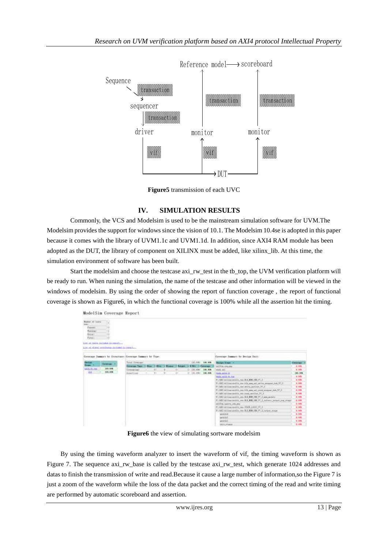

**Figure5** transmission of each UVC

## **IV. SIMULATION RESULTS**

Commonly, the VCS and Modelsim is used to be the mainstream simulation software for UVM.The Modelsim provides the support for windows since the vision of 10.1. The Modelsim 10.4se is adopted in this paper because it comes with the library of UVM1.1c and UVM1.1d. In addition, since AXI4 RAM module has been adopted as the DUT, the library of component on XILINX must be added, like xilinx\_lib. At this time, the simulation environment of software has been built.

Start the modelsim and choose the testcase axi\_rw\_test in the tb\_top, the UVM verification platform will be ready to run. When runing the simulation, the name of the testcase and other information will be viewed in the windows of modelsim. By using the order of showing the report of function coverage , the report of functional coverage is shown as Figure6, in which the functional coverage is 100% while all the assertion hit the timing.

| Sequence                 | sequencer                                                  |                     |                                                                                                                                                                                                                                                                                                                                                                                                                                                                                                                                                                                                                                                                              |                                                                                                                                                                                                                                                                                                                                                                                                                                                                                                                                                                                                                                                                                                                            |           |
|--------------------------|------------------------------------------------------------|---------------------|------------------------------------------------------------------------------------------------------------------------------------------------------------------------------------------------------------------------------------------------------------------------------------------------------------------------------------------------------------------------------------------------------------------------------------------------------------------------------------------------------------------------------------------------------------------------------------------------------------------------------------------------------------------------------|----------------------------------------------------------------------------------------------------------------------------------------------------------------------------------------------------------------------------------------------------------------------------------------------------------------------------------------------------------------------------------------------------------------------------------------------------------------------------------------------------------------------------------------------------------------------------------------------------------------------------------------------------------------------------------------------------------------------------|-----------|
|                          | driver                                                     | monitor             |                                                                                                                                                                                                                                                                                                                                                                                                                                                                                                                                                                                                                                                                              | monitor                                                                                                                                                                                                                                                                                                                                                                                                                                                                                                                                                                                                                                                                                                                    |           |
|                          |                                                            |                     |                                                                                                                                                                                                                                                                                                                                                                                                                                                                                                                                                                                                                                                                              |                                                                                                                                                                                                                                                                                                                                                                                                                                                                                                                                                                                                                                                                                                                            |           |
|                          |                                                            |                     | → DUT                                                                                                                                                                                                                                                                                                                                                                                                                                                                                                                                                                                                                                                                        |                                                                                                                                                                                                                                                                                                                                                                                                                                                                                                                                                                                                                                                                                                                            |           |
|                          | Figure5 transmission of each UVC                           |                     |                                                                                                                                                                                                                                                                                                                                                                                                                                                                                                                                                                                                                                                                              |                                                                                                                                                                                                                                                                                                                                                                                                                                                                                                                                                                                                                                                                                                                            |           |
| ModelSim Coverage Report | ivironment of software has been built.                     |                     |                                                                                                                                                                                                                                                                                                                                                                                                                                                                                                                                                                                                                                                                              | ovides the support for windows since the vision of 10.1. The Modelsim 10.4se is adopted in this paper<br>mes with the library of UVM1.1c and UVM1.1d. In addition, since AXI4 RAM module has been<br>e DUT, the library of component on XILINX must be added, like xilinx_lib. At this time, the<br>t the modelsim and choose the testcase axi_rw_test in the tb_top, the UVM verification platform will<br>un. When runing the simulation, the name of the testcase and other information will be viewed in the<br>modelsim. By using the order of showing the report of function coverage, the report of functional<br>hown as Figure6, in which the functional coverage is 100% while all the assertion hit the timing. |           |
| a lockular in a          |                                                            |                     |                                                                                                                                                                                                                                                                                                                                                                                                                                                                                                                                                                                                                                                                              |                                                                                                                                                                                                                                                                                                                                                                                                                                                                                                                                                                                                                                                                                                                            |           |
|                          | Etracture: Greecase Samuer by Tree<br><b>Weinert Coord</b> | 11. (m) 216 186,000 | art for Benissa Innt.<br>$-0.75 - 0.14 - 11$<br>exk.uid.m.m<br>FLAGE Addition consills, run 313, 838, 1991, FLS<br>P1/00/v45ingstrallit_net.50c_net_sel_yelis_pragay_taq_37_2<br>P:/ML/attisemedik.necessiva_active.V7_5<br>71/381/alditecteddia_rev.126_mm_nti_read_respon_hon_ST_1<br>T1/6014110m seetily we read settled T1.2<br>T1702/al1) according one, R.I. 212 [12] [27] J. pen, mini-e<br>FLOOT at the credit results (\$2,000 PL) across months are also<br>antifes, quantity and page<br>PLANE/attrace/colin_rendibilit_usus_PL.2<br>71/03/01/11 monette, sec. \$12, \$19, \$26, \$1, \$1, year, stake<br>parate 4<br>architect.<br><b>ANTIFICAL</b><br>TITL/FIAM | 180.006<br>8.006<br>1.000<br>8.006<br>6.08<br>6.306<br>5,000<br>1.05<br>5,000<br>A. DOL<br>8.00%<br>3, 085<br>4,006<br>8,006<br>1,096<br>1, 1996                                                                                                                                                                                                                                                                                                                                                                                                                                                                                                                                                                           |           |
|                          | Figure6 the view of simulating sortware modelsim           |                     |                                                                                                                                                                                                                                                                                                                                                                                                                                                                                                                                                                                                                                                                              |                                                                                                                                                                                                                                                                                                                                                                                                                                                                                                                                                                                                                                                                                                                            |           |
|                          | d by automatic scoreboard and assertion.                   |                     |                                                                                                                                                                                                                                                                                                                                                                                                                                                                                                                                                                                                                                                                              | g the timing waveform analyzer to insert the waveform of vif, the timing waveform is shown as<br>e sequence axi_rw_base is called by the testcase axi_rw_test, which generate 1024 addresses and<br>h the transmission of write and read. Because it cause a large number of information, so the Figure 7 is<br>of the waveform while the loss of the data packet and the correct timing of the read and write timing                                                                                                                                                                                                                                                                                                      |           |
|                          |                                                            | www.ijres.org       |                                                                                                                                                                                                                                                                                                                                                                                                                                                                                                                                                                                                                                                                              |                                                                                                                                                                                                                                                                                                                                                                                                                                                                                                                                                                                                                                                                                                                            | 13   Page |

**Figure6** the view of simulating sortware modelsim

By using the timing waveform analyzer to insert the waveform of vif, the timing waveform is shown as Figure 7. The sequence axi\_rw\_base is called by the testcase axi\_rw\_test, which generate 1024 addresses and datas to finish the transmission of write and read.Because it cause a large number of information,so the Figure 7 is just a zoom of the waveform while the loss of the data packet and the correct timing of the read and write timing are performed by automatic scoreboard and assertion.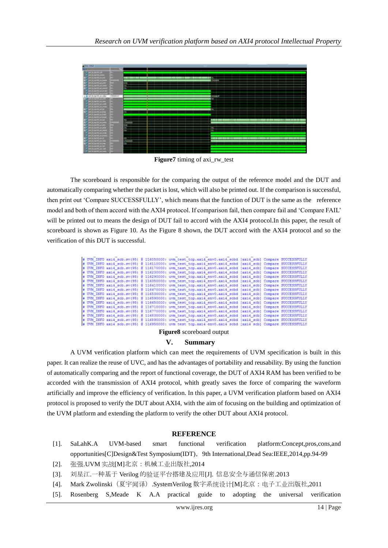

**Figure7** timing of axi\_rw\_test

The scoreboard is responsible for the comparing the output of the reference model and the DUT and automatically comparing whether the packet is lost, which will also be printed out. If the comparison is successful, then print out 'Compare SUCCESSFULLY', which means that the function of DUT is the same as the reference model and both of them accord with the AXI4 protocol. If comparison fail, then compare fail and 'Compare FAIL' will be printed out to means the design of DUT fail to accord with the AXI4 protocol. In this paper, the result of scoreboard is shown as Figure 10. As the Figure 8 shown, the DUT accord with the AXI4 protocol and so the verification of this DUT is successful.

|  |  | # UVM INFO exi4 sob.ev(95) # 116050000; uvm test top.axi4 env0.axi4 sobd [axi4 sob] Compare SUCCESSFULLY  |  |  |
|--|--|-----------------------------------------------------------------------------------------------------------|--|--|
|  |  | # UVM-INFO axid scb.sv (95) & li6110000: trm test top.axid env0.axid scbd (axid scb) Compare SUCCESSFULLY |  |  |
|  |  | # UVM INFO axi4 sch.sv(95) @ 116170000: uvm test top.axi4 env0.axi4 schd (axi4 sch) Compare SOCCESSFULLY  |  |  |
|  |  | # UVM INFO axi4 scb.sv(95) 8 116230000: uvm test top.axi4 env0.axi4 scbd [axi4 scb] Compare SUCCESSFULLY  |  |  |
|  |  | # UVM INFO axi4 scb.sv(95) @ 116290000: uvm test top.axi4 env0.axi4 scbd [axi4 scb] Compare SUCCESSFULLY  |  |  |
|  |  | # UVM INFO axi4 sob; sv(95) # 116356000: uvm_test_top.axi4_env0.axi4_sobd_{axi4_sob] Compare SUCCESSFULLY |  |  |
|  |  | # UVM INFO axi4 scb.sv(95) @ 116410000; uvm test top.sxi4 env0.sxi4 scbd {axi4 scb] Compare SUCCESSFULLY  |  |  |
|  |  | # UVM INFO axi4 mcb.sv(95) @ li6470000: uvm test top.axi4 env0.axi4 scbd [axi4 scb] Compare SUCCESSFULLY  |  |  |
|  |  | # UVM INFO mxi4 scb.sv(95) 8 116530000: uvm test top.axi4 env0.axi4 scbd [axi4 scb] Compare SUCCESSFULLY  |  |  |
|  |  | # UVM INFO mxi4 scb.sv(95) \$ 116590000; uvm test top.axi4 env0.axi4 scbd [axi4 scb] Compare SUCCESSFULLY |  |  |
|  |  | # UVM INFO axi4 scb.ev(95) # 116650000; uvm test top.axi4 env0.axi4 scbd [axi4 scb] Compare SUCCESSFULLY  |  |  |
|  |  | # UVM INFO axi4 scb.sv(95) & 116710000: uvm test top.axi4 env0.axi4 scbd [axi4 scb] Compare SUCCESSFULLY  |  |  |
|  |  | # UVM INFO axi4 scb.sv(95) 8 116770000: uvm test top.axi4 env0.axi4 scbd (axi4 scb) Compare SUCCESSFULLY  |  |  |
|  |  | # UVM INFO axi4 acb.sv(95) 8 116830000: uvm test top.axi4 env0.axi4 acbd {axi4 acb} Compare SUCCESSFULLY  |  |  |
|  |  | . UVM INFO axi4 scb.sv(95) 8 116890000: uvm test top.axi4 env0.axi4 scbd (axi4 scb) Compare SUCCESSFULLY  |  |  |
|  |  | 4 TER THEO avid acklaying) B 110050000 com rase con avid anto avid sold lavid achi Company directorings   |  |  |

#### **Figure8** scoreboard output

#### **V. Summary**

A UVM verification platform which can meet the requirements of UVM specification is built in this paper. It can realize the reuse of UVC, and has the advantages of portability and reusability. By using the function of automatically comparing and the report of functional coverage, the DUT of AXI4 RAM has been verified to be accorded with the transmission of AXI4 protocol, whith greatly saves the force of comparing the waveform artificially and improve the efficiency of verification. In this paper, a UVM verification platform based on AXI4 protocol is proposed to verify the DUT about AXI4, with the aim of focusing on the building and optimization of the UVM platform and extending the platform to verify the other DUT about AXI4 protocol.

## **REFERENCE**

- [1]. SaLahK.A UVM-based smart functional verification platform:Concept,pros,cons,and opportunities[C]Design&Test Symposium(IDT),9th International,Dead Sea:IEEE,2014,pp.94-99
- [2]. 张强.UVM 实战[M]北京:机械工业出版社,2014
- [3]. 刘星江.一种基于 Verilog 的验证平台搭建及应用[J]. 信息安全与通信保密.2013
- [4]. Mark Zwolinski(夏宇闻译).SystemVerilog 数字系统设计[M]北京:电子工业出版社,2011
- [5]. Rosenberg S,Meade K A.A practical guide to adopting the universal verification